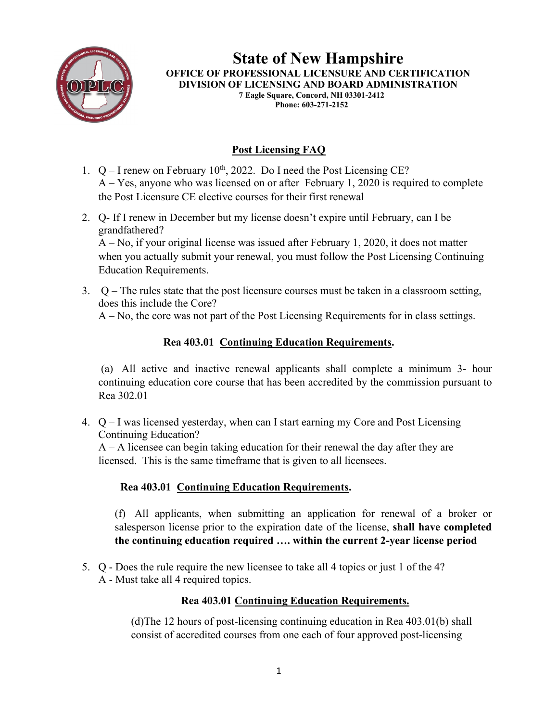

**State of New Hampshire OFFICE OF PROFESSIONAL LICENSURE AND CERTIFICATION DIVISION OF LICENSING AND BOARD ADMINISTRATION 7 Eagle Square, Concord, NH 03301-2412 Phone: 603-271-2152**

# **Post Licensing FAQ**

- 1.  $Q I$  renew on February 10<sup>th</sup>, 2022. Do I need the Post Licensing CE? A – Yes, anyone who was licensed on or after February 1, 2020 is required to complete the Post Licensure CE elective courses for their first renewal
- 2. Q- If I renew in December but my license doesn't expire until February, can I be grandfathered? A – No, if your original license was issued after February 1, 2020, it does not matter when you actually submit your renewal, you must follow the Post Licensing Continuing Education Requirements.
- 3. Q The rules state that the post licensure courses must be taken in a classroom setting, does this include the Core?

A – No, the core was not part of the Post Licensing Requirements for in class settings.

## **Rea 403.01 Continuing Education Requirements.**

(a) All active and inactive renewal applicants shall complete a minimum 3- hour continuing education core course that has been accredited by the commission pursuant to Rea 302.01

4. Q – I was licensed yesterday, when can I start earning my Core and Post Licensing Continuing Education?

 $A - A$  licensee can begin taking education for their renewal the day after they are licensed. This is the same timeframe that is given to all licensees.

## **Rea 403.01 Continuing Education Requirements.**

(f) All applicants, when submitting an application for renewal of a broker or salesperson license prior to the expiration date of the license, **shall have completed the continuing education required …. within the current 2-year license period**

5. Q - Does the rule require the new licensee to take all 4 topics or just 1 of the 4? A - Must take all 4 required topics.

#### **Rea 403.01 Continuing Education Requirements.**

(d)The 12 hours of post-licensing continuing education in Rea 403.01(b) shall consist of accredited courses from one each of four approved post-licensing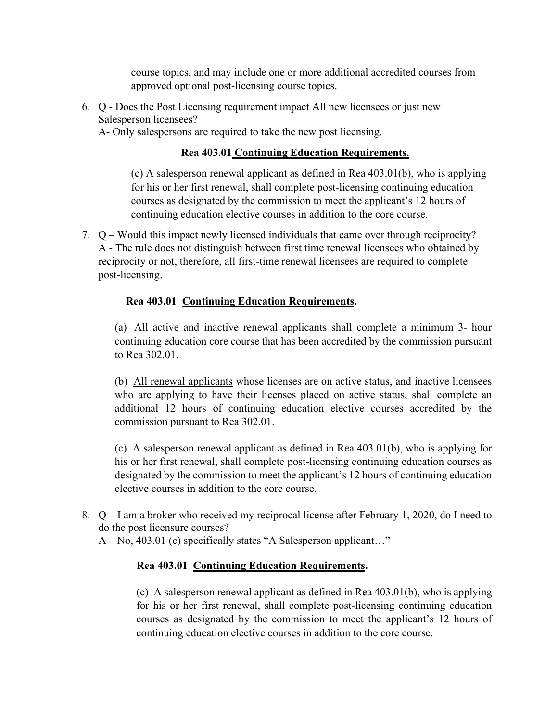course topics, and may include one or more additional accredited courses from approved optional post-licensing course topics.

6. Q - Does the Post Licensing requirement impact All new licensees or just new Salesperson licensees?

A- Only salespersons are required to take the new post licensing.

#### **Rea 403.01 Continuing Education Requirements.**

(c) A salesperson renewal applicant as defined in Rea 403.01(b), who is applying for his or her first renewal, shall complete post-licensing continuing education courses as designated by the commission to meet the applicant's 12 hours of continuing education elective courses in addition to the core course.

7. Q – Would this impact newly licensed individuals that came over through reciprocity? A - The rule does not distinguish between first time renewal licensees who obtained by reciprocity or not, therefore, all first-time renewal licensees are required to complete post-licensing.

#### **Rea 403.01 Continuing Education Requirements.**

(a) All active and inactive renewal applicants shall complete a minimum 3- hour continuing education core course that has been accredited by the commission pursuant to Rea 302.01.

(b) All renewal applicants whose licenses are on active status, and inactive licensees who are applying to have their licenses placed on active status, shall complete an additional 12 hours of continuing education elective courses accredited by the commission pursuant to Rea 302.01.

(c) A salesperson renewal applicant as defined in Rea 403.01(b), who is applying for his or her first renewal, shall complete post-licensing continuing education courses as designated by the commission to meet the applicant's 12 hours of continuing education elective courses in addition to the core course.

8. Q – I am a broker who received my reciprocal license after February 1, 2020, do I need to do the post licensure courses?

A – No, 403.01 (c) specifically states "A Salesperson applicant…"

## **Rea 403.01 Continuing Education Requirements.**

(c) A salesperson renewal applicant as defined in Rea 403.01(b), who is applying for his or her first renewal, shall complete post-licensing continuing education courses as designated by the commission to meet the applicant's 12 hours of continuing education elective courses in addition to the core course.